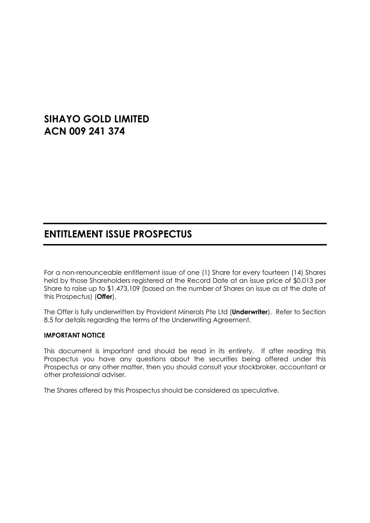# **SIHAYO GOLD LIMITED ACN 009 241 374**

# **ENTITLEMENT ISSUE PROSPECTUS**

For a non-renounceable entitlement issue of one (1) Share for every fourteen (14) Shares held by those Shareholders registered at the Record Date at an issue price of \$0.013 per Share to raise up to \$1,473,109 (based on the number of Shares on issue as at the date of this Prospectus) (**Offer**).

The Offer is fully underwritten by Provident Minerals Pte Ltd (**Underwriter**). Refer to Section [8.5](#page-29-0) for details regarding the terms of the Underwriting Agreement.

#### **IMPORTANT NOTICE**

This document is important and should be read in its entirety. If after reading this Prospectus you have any questions about the securities being offered under this Prospectus or any other matter, then you should consult your stockbroker, accountant or other professional adviser.

The Shares offered by this Prospectus should be considered as speculative.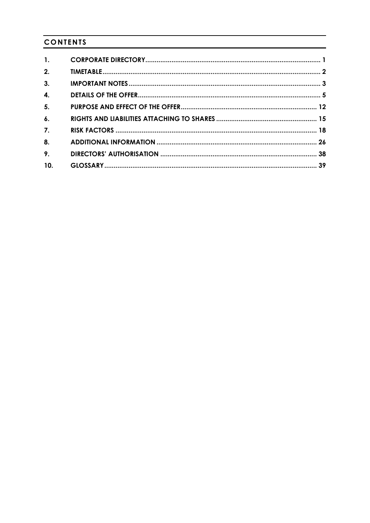# **CONTENTS**

| $\mathbf{1}$ .     |  |
|--------------------|--|
| 2.                 |  |
| 3.                 |  |
| $\mathbf{4}$       |  |
| 5.                 |  |
| $\boldsymbol{6}$ . |  |
| $\overline{7}$ .   |  |
| 8.                 |  |
| 9.                 |  |
| 10.                |  |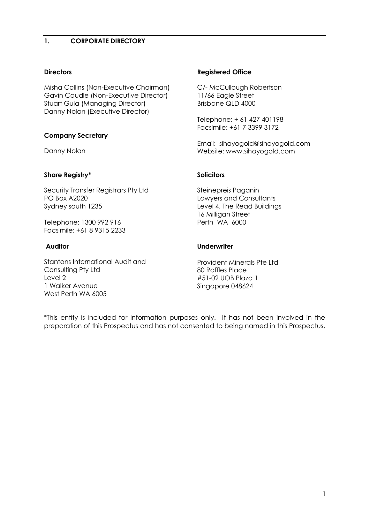# <span id="page-2-0"></span>**1. CORPORATE DIRECTORY**

# **Directors**

Misha Collins (Non-Executive Chairman) Gavin Caudle (Non-Executive Director) Stuart Gula (Managing Director) Danny Nolan (Executive Director)

# **Company Secretary**

Danny Nolan

#### **Share Registry\***

Security Transfer Registrars Pty Ltd PO Box A2020 Sydney south 1235

Telephone: 1300 992 916 Facsimile: +61 8 9315 2233

#### **Auditor**

Stantons International Audit and Consulting Pty Ltd Level 2 1 Walker Avenue West Perth WA 6005

#### **Registered Office**

C/- McCullough Robertson 11/66 Eagle Street Brisbane QLD 4000

Telephone: + 61 427 401198 Facsimile: +61 7 3399 3172

Email: sihayogold@sihayogold.com Website: www.sihayogold.com

#### **Solicitors**

Steinepreis Paganin Lawyers and Consultants Level 4, The Read Buildings 16 Milligan Street Perth WA 6000

#### **Underwriter**

Provident Minerals Pte Ltd 80 Raffles Place #51-02 UOB Plaza 1 Singapore 048624

\*This entity is included for information purposes only. It has not been involved in the preparation of this Prospectus and has not consented to being named in this Prospectus.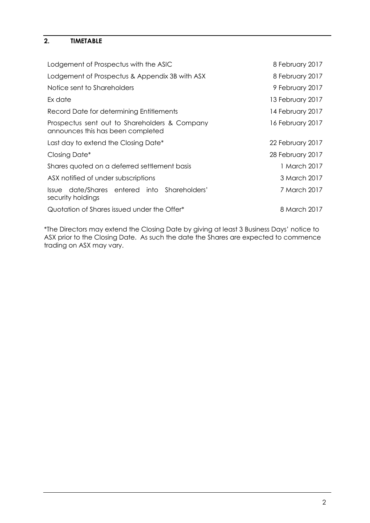# <span id="page-3-0"></span>**2. TIMETABLE**

| Lodgement of Prospectus with the ASIC                                              | 8 February 2017  |
|------------------------------------------------------------------------------------|------------------|
| Lodgement of Prospectus & Appendix 3B with ASX                                     | 8 February 2017  |
| Notice sent to Shareholders                                                        | 9 February 2017  |
| Ex date                                                                            | 13 February 2017 |
| Record Date for determining Entitlements                                           | 14 February 2017 |
| Prospectus sent out to Shareholders & Company<br>announces this has been completed | 16 February 2017 |
| Last day to extend the Closing Date*                                               | 22 February 2017 |
| Closing Date*                                                                      | 28 February 2017 |
| Shares quoted on a deferred settlement basis                                       | 1 March 2017     |
| ASX notified of under subscriptions                                                | 3 March 2017     |
| Issue date/Shares entered into Shareholders'<br>security holdings                  | 7 March 2017     |
| Quotation of Shares issued under the Offer*                                        | 8 March 2017     |

\*The Directors may extend the Closing Date by giving at least 3 Business Days' notice to ASX prior to the Closing Date. As such the date the Shares are expected to commence trading on ASX may vary.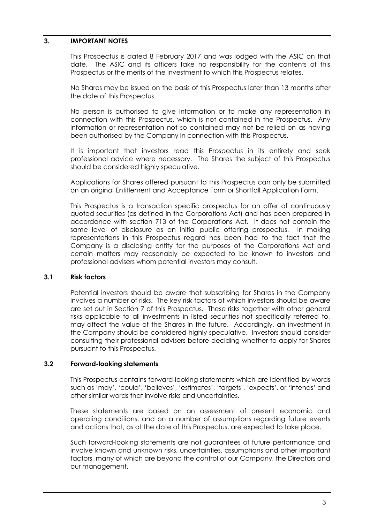#### <span id="page-4-0"></span>**3. IMPORTANT NOTES**

This Prospectus is dated 8 February 2017 and was lodged with the ASIC on that date. The ASIC and its officers take no responsibility for the contents of this Prospectus or the merits of the investment to which this Prospectus relates.

No Shares may be issued on the basis of this Prospectus later than 13 months after the date of this Prospectus.

No person is authorised to give information or to make any representation in connection with this Prospectus, which is not contained in the Prospectus. Any information or representation not so contained may not be relied on as having been authorised by the Company in connection with this Prospectus.

It is important that investors read this Prospectus in its entirety and seek professional advice where necessary. The Shares the subject of this Prospectus should be considered highly speculative.

Applications for Shares offered pursuant to this Prospectus can only be submitted on an original Entitlement and Acceptance Form or Shortfall Application Form.

This Prospectus is a transaction specific prospectus for an offer of continuously quoted securities (as defined in the Corporations Act) and has been prepared in accordance with section 713 of the Corporations Act. It does not contain the same level of disclosure as an initial public offering prospectus. In making representations in this Prospectus regard has been had to the fact that the Company is a disclosing entity for the purposes of the Corporations Act and certain matters may reasonably be expected to be known to investors and professional advisers whom potential investors may consult.

#### **3.1 Risk factors**

Potential investors should be aware that subscribing for Shares in the Company involves a number of risks. The key risk factors of which investors should be aware are set out in Section [7](#page-19-0) of this Prospectus. These risks together with other general risks applicable to all investments in listed securities not specifically referred to, may affect the value of the Shares in the future. Accordingly, an investment in the Company should be considered highly speculative. Investors should consider consulting their professional advisers before deciding whether to apply for Shares pursuant to this Prospectus.

#### **3.2 Forward-looking statements**

This Prospectus contains forward-looking statements which are identified by words such as 'may', 'could', 'believes', 'estimates', 'targets', 'expects', or 'intends' and other similar words that involve risks and uncertainties.

These statements are based on an assessment of present economic and operating conditions, and on a number of assumptions regarding future events and actions that, as at the date of this Prospectus, are expected to take place.

Such forward-looking statements are not guarantees of future performance and involve known and unknown risks, uncertainties, assumptions and other important factors, many of which are beyond the control of our Company, the Directors and our management.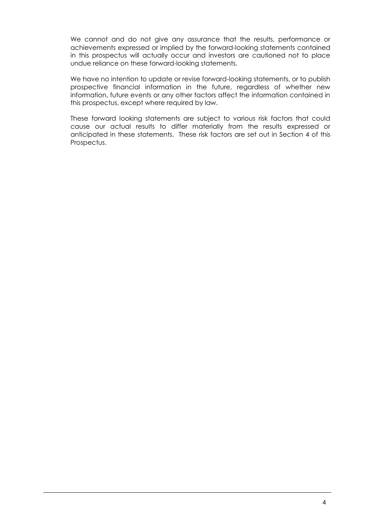We cannot and do not give any assurance that the results, performance or achievements expressed or implied by the forward-looking statements contained in this prospectus will actually occur and investors are cautioned not to place undue reliance on these forward-looking statements.

We have no intention to update or revise forward-looking statements, or to publish prospective financial information in the future, regardless of whether new information, future events or any other factors affect the information contained in this prospectus, except where required by law.

These forward looking statements are subject to various risk factors that could cause our actual results to differ materially from the results expressed or anticipated in these statements. These risk factors are set out in Section [4](#page-6-0) of this Prospectus.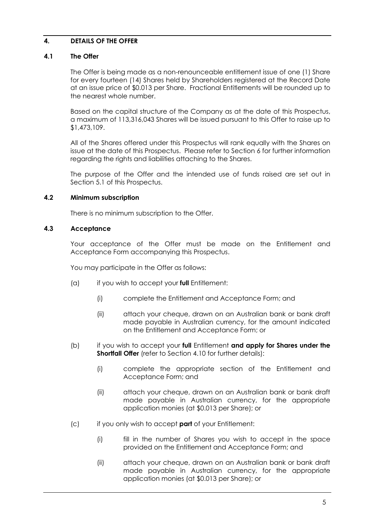# <span id="page-6-0"></span>**4. DETAILS OF THE OFFER**

#### **4.1 The Offer**

The Offer is being made as a non-renounceable entitlement issue of one (1) Share for every fourteen (14) Shares held by Shareholders registered at the Record Date at an issue price of \$0.013 per Share. Fractional Entitlements will be rounded up to the nearest whole number.

Based on the capital structure of the Company as at the date of this Prospectus, a maximum of 113,316,043 Shares will be issued pursuant to this Offer to raise up to \$1,473,109.

All of the Shares offered under this Prospectus will rank equally with the Shares on issue at the date of this Prospectus. Please refer to Section [6](#page-16-0) for further information regarding the rights and liabilities attaching to the Shares.

The purpose of the Offer and the intended use of funds raised are set out in Section [5.1](#page-13-1) of this Prospectus.

#### **4.2 Minimum subscription**

There is no minimum subscription to the Offer.

#### **4.3 Acceptance**

Your acceptance of the Offer must be made on the Entitlement and Acceptance Form accompanying this Prospectus.

You may participate in the Offer as follows:

- (a) if you wish to accept your **full** Entitlement:
	- (i) complete the Entitlement and Acceptance Form; and
	- (ii) attach your cheque, drawn on an Australian bank or bank draft made payable in Australian currency, for the amount indicated on the Entitlement and Acceptance Form; or
- (b) if you wish to accept your **full** Entitlement **and apply for Shares under the Shortfall Offer** (refer to Section [4.10](#page-10-0) for further details):
	- (i) complete the appropriate section of the Entitlement and Acceptance Form; and
	- (ii) attach your cheque, drawn on an Australian bank or bank draft made payable in Australian currency, for the appropriate application monies (at \$0.013 per Share); or
- (c) if you only wish to accept **part** of your Entitlement:
	- (i) fill in the number of Shares you wish to accept in the space provided on the Entitlement and Acceptance Form; and
	- (ii) attach your cheque, drawn on an Australian bank or bank draft made payable in Australian currency, for the appropriate application monies (at \$0.013 per Share); or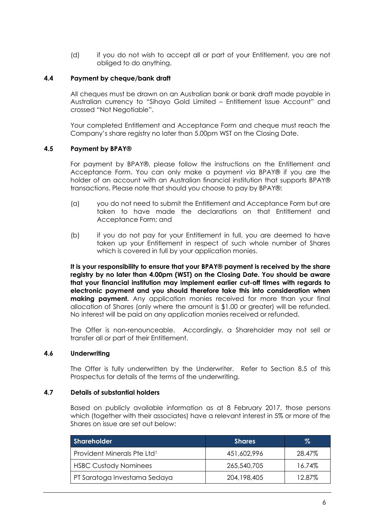(d) if you do not wish to accept all or part of your Entitlement, you are not obliged to do anything.

#### **4.4 Payment by cheque/bank draft**

All cheques must be drawn on an Australian bank or bank draft made payable in Australian currency to "Sihayo Gold Limited – Entitlement Issue Account" and crossed "Not Negotiable".

Your completed Entitlement and Acceptance Form and cheque must reach the Company's share registry no later than 5.00pm WST on the Closing Date.

#### **4.5 Payment by BPAY®**

For payment by BPAY®, please follow the instructions on the Entitlement and Acceptance Form. You can only make a payment via BPAY® if you are the holder of an account with an Australian financial institution that supports BPAY® transactions. Please note that should you choose to pay by BPAY®:

- (a) you do not need to submit the Entitlement and Acceptance Form but are taken to have made the declarations on that Entitlement and Acceptance Form; and
- (b) if you do not pay for your Entitlement in full, you are deemed to have taken up your Entitlement in respect of such whole number of Shares which is covered in full by your application monies.

**It is your responsibility to ensure that your BPAY® payment is received by the share registry by no later than 4.00pm (WST) on the Closing Date. You should be aware that your financial institution may implement earlier cut-off times with regards to electronic payment and you should therefore take this into consideration when making payment.** Any application monies received for more than your final allocation of Shares (only where the amount is \$1.00 or greater) will be refunded. No interest will be paid on any application monies received or refunded.

The Offer is non-renounceable. Accordingly, a Shareholder may not sell or transfer all or part of their Entitlement.

#### **4.6 Underwriting**

The Offer is fully underwritten by the Underwriter. Refer to Section [8.5](#page-29-0) of this Prospectus for details of the terms of the underwriting.

#### **4.7 Details of substantial holders**

Based on publicly available information as at 8 February 2017, those persons which (together with their associates) have a relevant interest in 5% or more of the Shares on issue are set out below:

| Shareholder                             | <b>Shares</b> | %      |
|-----------------------------------------|---------------|--------|
| Provident Minerals Pte Ltd <sup>1</sup> | 451,602,996   | 28.47% |
| <b>HSBC Custody Nominees</b>            | 265,540,705   | 16.74% |
| PT Saratoga Investama Sedaya            | 204,198,405   | 12.87% |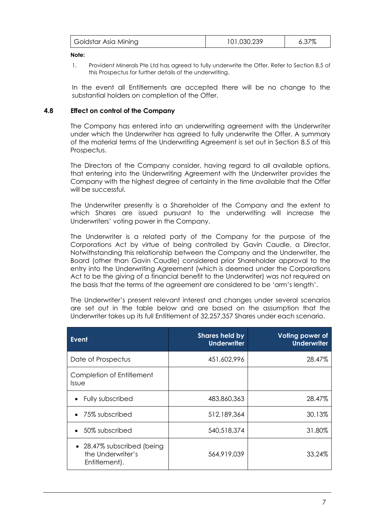|  | Goldstar Asia Mining | 101,030,239 | 6.37% |
|--|----------------------|-------------|-------|
|--|----------------------|-------------|-------|

**Note:**

1. Provident Minerals Pte Ltd has agreed to fully underwrite the Offer. Refer to Section [8.5](#page-29-0) of this Prospectus for further details of the underwriting.

In the event all Entitlements are accepted there will be no change to the substantial holders on completion of the Offer.

#### <span id="page-8-0"></span>**4.8 Effect on control of the Company**

The Company has entered into an underwriting agreement with the Underwriter under which the Underwriter has agreed to fully underwrite the Offer. A summary of the material terms of the Underwriting Agreement is set out in Section [8.5](#page-29-0) of this Prospectus.

The Directors of the Company consider, having regard to all available options, that entering into the Underwriting Agreement with the Underwriter provides the Company with the highest degree of certainty in the time available that the Offer will be successful.

The Underwriter presently is a Shareholder of the Company and the extent to which Shares are issued pursuant to the underwriting will increase the Underwriters' voting power in the Company.

The Underwriter is a related party of the Company for the purpose of the Corporations Act by virtue of being controlled by Gavin Caudle, a Director. Notwithstanding this relationship between the Company and the Underwriter, the Board (other than Gavin Caudle) considered prior Shareholder approval to the entry into the Underwriting Agreement (which is deemed under the Corporations Act to be the giving of a financial benefit to the Underwriter) was not required on the basis that the terms of the agreement are considered to be 'arm's length'.

The Underwriter's present relevant interest and changes under several scenarios are set out in the table below and are based on the assumption that the Underwriter takes up its full Entitlement of 32,257,357 Shares under each scenario.

| <b>Event</b>                                                     | <b>Shares held by</b><br><b>Underwriter</b> | Voting power of<br><b>Underwriter</b> |
|------------------------------------------------------------------|---------------------------------------------|---------------------------------------|
| Date of Prospectus                                               | 451,602,996                                 | 28.47%                                |
| Completion of Entitlement<br><i><u><b>Issue</b></u></i>          |                                             |                                       |
| Fully subscribed                                                 | 483,860,363                                 | 28.47%                                |
| • 75% subscribed                                                 | 512,189,364                                 | 30.13%                                |
| • 50% subscribed                                                 | 540,518,374                                 | 31.80%                                |
| • 28.47% subscribed (being<br>the Underwriter's<br>Entitlement). | 564,919,039                                 | 33.24%                                |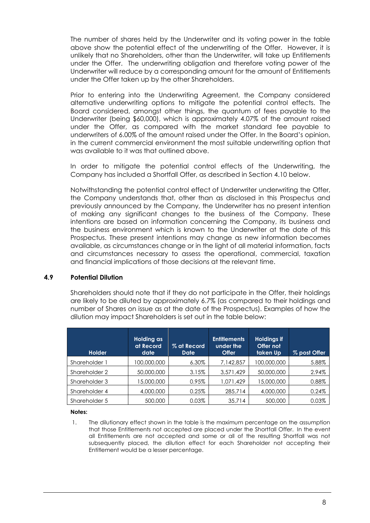The number of shares held by the Underwriter and its voting power in the table above show the potential effect of the underwriting of the Offer. However, it is unlikely that no Shareholders, other than the Underwriter, will take up Entitlements under the Offer. The underwriting obligation and therefore voting power of the Underwriter will reduce by a corresponding amount for the amount of Entitlements under the Offer taken up by the other Shareholders.

Prior to entering into the Underwriting Agreement, the Company considered alternative underwriting options to mitigate the potential control effects. The Board considered, amongst other things, the quantum of fees payable to the Underwriter (being \$60,000), which is approximately 4.07% of the amount raised under the Offer, as compared with the market standard fee payable to underwriters of 6.00% of the amount raised under the Offer. In the Board's opinion, in the current commercial environment the most suitable underwriting option that was available to it was that outlined above.

In order to mitigate the potential control effects of the Underwriting, the Company has included a Shortfall Offer, as described in Section [4.10](#page-10-0) below.

Notwithstanding the potential control effect of Underwriter underwriting the Offer, the Company understands that, other than as disclosed in this Prospectus and previously announced by the Company, the Underwriter has no present intention of making any significant changes to the business of the Company. These intentions are based on information concerning the Company, its business and the business environment which is known to the Underwriter at the date of this Prospectus. These present intentions may change as new information becomes available, as circumstances change or in the light of all material information, facts and circumstances necessary to assess the operational, commercial, taxation and financial implications of those decisions at the relevant time.

#### **4.9 Potential Dilution**

Shareholders should note that if they do not participate in the Offer, their holdings are likely to be diluted by approximately 6.7% (as compared to their holdings and number of Shares on issue as at the date of the Prospectus). Examples of how the dilution may impact Shareholders is set out in the table below:

| <b>Holder</b> | Holding as<br>at Record'<br>date | % at Record<br>Date | <b>Entitlements</b><br>under the<br><b>Offer</b> | <b>Holdings if</b><br>Offer not<br>taken Up | % post Offer |
|---------------|----------------------------------|---------------------|--------------------------------------------------|---------------------------------------------|--------------|
| Shareholder 1 | 100.000.000                      | $6.30\%$            | 7,142,857                                        | 100,000,000                                 | 5.88%        |
| Shareholder 2 | 50,000,000                       | 3.15%               | 3,571,429                                        | 50,000,000                                  | 2.94%        |
| Shareholder 3 | 15,000,000                       | 0.95%               | 1,071,429                                        | 15,000,000                                  | 0.88%        |
| Shareholder 4 | 4,000,000                        | 0.25%               | 285,714                                          | 4,000,000                                   | 0.24%        |
| Shareholder 5 | 500,000                          | 0.03%               | 35,714                                           | 500,000                                     | 0.03%        |

#### **Notes:**

1. The dilutionary effect shown in the table is the maximum percentage on the assumption that those Entitlements not accepted are placed under the Shortfall Offer. In the event all Entitlements are not accepted and some or all of the resulting Shortfall was not subsequently placed, the dilution effect for each Shareholder not accepting their Entitlement would be a lesser percentage.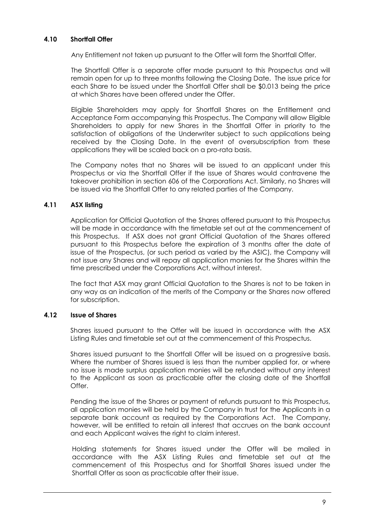# <span id="page-10-0"></span>**4.10 Shortfall Offer**

Any Entitlement not taken up pursuant to the Offer will form the Shortfall Offer.

The Shortfall Offer is a separate offer made pursuant to this Prospectus and will remain open for up to three months following the Closing Date. The issue price for each Share to be issued under the Shortfall Offer shall be \$0.013 being the price at which Shares have been offered under the Offer.

Eligible Shareholders may apply for Shortfall Shares on the Entitlement and Acceptance Form accompanying this Prospectus. The Company will allow Eligible Shareholders to apply for new Shares in the Shortfall Offer in priority to the satisfaction of obligations of the Underwriter subject to such applications being received by the Closing Date. In the event of oversubscription from these applications they will be scaled back on a pro-rata basis.

The Company notes that no Shares will be issued to an applicant under this Prospectus or via the Shortfall Offer if the issue of Shares would contravene the takeover prohibition in section 606 of the Corporations Act. Similarly, no Shares will be issued via the Shortfall Offer to any related parties of the Company.

# **4.11 ASX listing**

Application for Official Quotation of the Shares offered pursuant to this Prospectus will be made in accordance with the timetable set out at the commencement of this Prospectus. If ASX does not grant Official Quotation of the Shares offered pursuant to this Prospectus before the expiration of 3 months after the date of issue of the Prospectus, (or such period as varied by the ASIC), the Company will not issue any Shares and will repay all application monies for the Shares within the time prescribed under the Corporations Act, without interest.

The fact that ASX may grant Official Quotation to the Shares is not to be taken in any way as an indication of the merits of the Company or the Shares now offered for subscription.

#### **4.12 Issue of Shares**

Shares issued pursuant to the Offer will be issued in accordance with the ASX Listing Rules and timetable set out at the commencement of this Prospectus.

Shares issued pursuant to the Shortfall Offer will be issued on a progressive basis. Where the number of Shares issued is less than the number applied for, or where no issue is made surplus application monies will be refunded without any interest to the Applicant as soon as practicable after the closing date of the Shortfall Offer.

Pending the issue of the Shares or payment of refunds pursuant to this Prospectus, all application monies will be held by the Company in trust for the Applicants in a separate bank account as required by the Corporations Act. The Company, however, will be entitled to retain all interest that accrues on the bank account and each Applicant waives the right to claim interest.

Holding statements for Shares issued under the Offer will be mailed in accordance with the ASX Listing Rules and timetable set out at the commencement of this Prospectus and for Shortfall Shares issued under the Shortfall Offer as soon as practicable after their issue.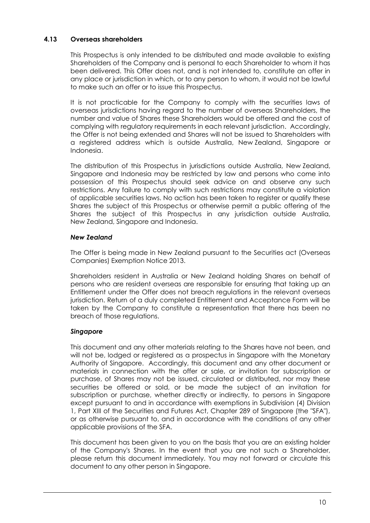# **4.13 Overseas shareholders**

This Prospectus is only intended to be distributed and made available to existing Shareholders of the Company and is personal to each Shareholder to whom it has been delivered. This Offer does not, and is not intended to, constitute an offer in any place or jurisdiction in which, or to any person to whom, it would not be lawful to make such an offer or to issue this Prospectus.

It is not practicable for the Company to comply with the securities laws of overseas jurisdictions having regard to the number of overseas Shareholders, the number and value of Shares these Shareholders would be offered and the cost of complying with regulatory requirements in each relevant jurisdiction. Accordingly, the Offer is not being extended and Shares will not be issued to Shareholders with a registered address which is outside Australia, New Zealand, Singapore or Indonesia.

The distribution of this Prospectus in jurisdictions outside Australia, New Zealand, Singapore and Indonesia may be restricted by law and persons who come into possession of this Prospectus should seek advice on and observe any such restrictions. Any failure to comply with such restrictions may constitute a violation of applicable securities laws. No action has been taken to register or qualify these Shares the subject of this Prospectus or otherwise permit a public offering of the Shares the subject of this Prospectus in any jurisdiction outside Australia, New Zealand, Singapore and Indonesia.

# *New Zealand*

The Offer is being made in New Zealand pursuant to the Securities act (Overseas Companies) Exemption Notice 2013.

Shareholders resident in Australia or New Zealand holding Shares on behalf of persons who are resident overseas are responsible for ensuring that taking up an Entitlement under the Offer does not breach regulations in the relevant overseas jurisdiction. Return of a duly completed Entitlement and Acceptance Form will be taken by the Company to constitute a representation that there has been no breach of those regulations.

# *Singapore*

This document and any other materials relating to the Shares have not been, and will not be, lodged or registered as a prospectus in Singapore with the Monetary Authority of Singapore. Accordingly, this document and any other document or materials in connection with the offer or sale, or invitation for subscription or purchase, of Shares may not be issued, circulated or distributed, nor may these securities be offered or sold, or be made the subject of an invitation for subscription or purchase, whether directly or indirectly, to persons in Singapore except pursuant to and in accordance with exemptions in Subdivision (4) Division 1, Part XIII of the Securities and Futures Act, Chapter 289 of Singapore (the "SFA"), or as otherwise pursuant to, and in accordance with the conditions of any other applicable provisions of the SFA.

This document has been given to you on the basis that you are an existing holder of the Company's Shares. In the event that you are not such a Shareholder, please return this document immediately. You may not forward or circulate this document to any other person in Singapore.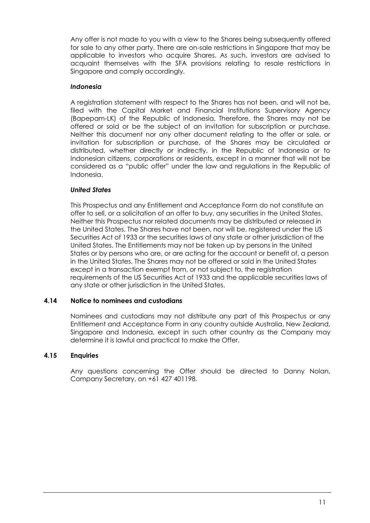Any offer is not made to you with a view to the Shares being subsequently offered for sale to any other party. There are on-sale restrictions in Singapore that may be applicable to investors who acquire Shares. As such, investors are advised to acquaint themselves with the SFA provisions relating to resale restrictions in Singapore and comply accordingly.

# *Indonesia*

A registration statement with respect to the Shares has not been, and will not be, filed with the Capital Market and Financial Institutions Supervisory Agency (Bapepam-LK) of the Republic of Indonesia. Therefore, the Shares may not be offered or sold or be the subject of an invitation for subscription or purchase. Neither this document nor any other document relating to the offer or sale, or invitation for subscription or purchase, of the Shares may be circulated or distributed, whether directly or indirectly, in the Republic of Indonesia or to Indonesian citizens, corporations or residents, except in a manner that will not be considered as a "public offer" under the law and regulations in the Republic of Indonesia.

# *United States*

This Prospectus and any Entitlement and Acceptance Form do not constitute an offer to sell, or a solicitation of an offer to buy, any securities in the United States. Neither this Prospectus nor related documents may be distributed or released in the United States. The Shares have not been, nor will be, registered under the US Securities Act of 1933 or the securities laws of any state or other jurisdiction of the United States. The Entitlements may not be taken up by persons in the United States or by persons who are, or are acting for the account or benefit of, a person in the United States. The Shares may not be offered or sold in the United States except in a transaction exempt from, or not subject to, the registration requirements of the US Securities Act of 1933 and the applicable securities laws of any state or other jurisdiction in the United States.

#### **4.14 Notice to nominees and custodians**

Nominees and custodians may not distribute any part of this Prospectus or any Entitlement and Acceptance Form in any country outside Australia, New Zealand, Singapore and Indonesia, except in such other country as the Company may determine it is lawful and practical to make the Offer.

#### **4.15 Enquiries**

Any questions concerning the Offer should be directed to Danny Nolan, Company Secretary, on +61 427 401198.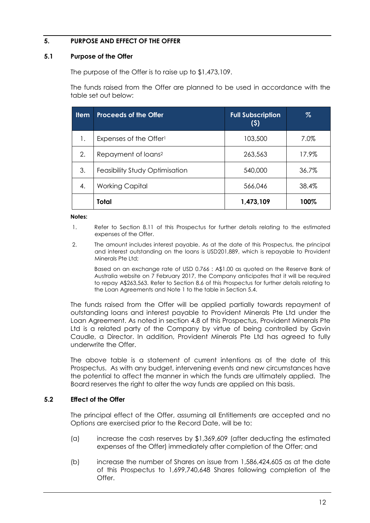# <span id="page-13-0"></span>**5. PURPOSE AND EFFECT OF THE OFFER**

#### <span id="page-13-1"></span>**5.1 Purpose of the Offer**

The purpose of the Offer is to raise up to \$1,473,109.

The funds raised from the Offer are planned to be used in accordance with the table set out below:

| <b>Item</b> | <b>Proceeds of the Offer</b>       | <b>Full Subscription</b><br>(5) | %     |
|-------------|------------------------------------|---------------------------------|-------|
| 1.          | Expenses of the Offer <sup>1</sup> | 103,500                         | 7.0%  |
| 2.          | Repayment of loans <sup>2</sup>    | 263,563                         | 17.9% |
| 3.          | Feasibility Study Optimisation     | 540,000                         | 36.7% |
| 4.          | <b>Working Capital</b>             | 566,046                         | 38.4% |
|             | Total                              | 1,473,109                       | 100%  |

**Notes:**

- 1. Refer to Section 8.11 of this Prospectus for further details relating to the estimated expenses of the Offer.
- 2. The amount includes interest payable. As at the date of this Prospectus, the principal and interest outstanding on the loans is USD201,889, which is repayable to Provident Minerals Pte Ltd;

Based on an exchange rate of USD 0.766 : A\$1.00 as quoted on the Reserve Bank of Australia website on 7 February 2017, the Company anticipates that it will be required to repay A\$263,563. Refer to Section [8.6](#page-33-0) of this Prospectus for further details relating to the Loan Agreements and Note 1 to the table in Section [5.4.](#page-14-0)

The funds raised from the Offer will be applied partially towards repayment of outstanding loans and interest payable to Provident Minerals Pte Ltd under the Loan Agreement. As noted in section [4.8](#page-8-0) of this Prospectus, Provident Minerals Pte Ltd is a related party of the Company by virtue of being controlled by Gavin Caudle, a Director. In addition, Provident Minerals Pte Ltd has agreed to fully underwrite the Offer.

The above table is a statement of current intentions as of the date of this Prospectus. As with any budget, intervening events and new circumstances have the potential to affect the manner in which the funds are ultimately applied. The Board reserves the right to alter the way funds are applied on this basis.

#### **5.2 Effect of the Offer**

The principal effect of the Offer, assuming all Entitlements are accepted and no Options are exercised prior to the Record Date, will be to:

- (a) increase the cash reserves by \$1,369,609 (after deducting the estimated expenses of the Offer) immediately after completion of the Offer; and
- (b) increase the number of Shares on issue from 1,586,424,605 as at the date of this Prospectus to 1,699,740,648 Shares following completion of the Offer.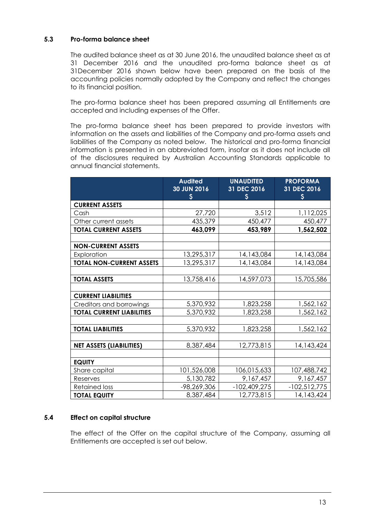# <span id="page-14-1"></span>**5.3 Pro-forma balance sheet**

The audited balance sheet as at 30 June 2016, the unaudited balance sheet as at 31 December 2016 and the unaudited pro-forma balance sheet as at 31December 2016 shown below have been prepared on the basis of the accounting policies normally adopted by the Company and reflect the changes to its financial position.

The pro-forma balance sheet has been prepared assuming all Entitlements are accepted and including expenses of the Offer.

The pro-forma balance sheet has been prepared to provide investors with information on the assets and liabilities of the Company and pro-forma assets and liabilities of the Company as noted below. The historical and pro-forma financial information is presented in an abbreviated form, insofar as it does not include all of the disclosures required by Australian Accounting Standards applicable to annual financial statements.

|                                  | <b>Audited</b><br>30 JUN 2016<br>\$ | <b>UNAUDITED</b><br>31 DEC 2016<br>$\boldsymbol{\mathsf{S}}$ | <b>PROFORMA</b><br>31 DEC 2016 |
|----------------------------------|-------------------------------------|--------------------------------------------------------------|--------------------------------|
| <b>CURRENT ASSETS</b>            |                                     |                                                              | Ş                              |
| Cash                             | 27,720                              | 3,512                                                        | 1,112,025                      |
| Other current assets             | 435,379                             | 450,477                                                      | 450,477                        |
| <b>TOTAL CURRENT ASSETS</b>      | 463,099                             | 453,989                                                      | 1,562,502                      |
|                                  |                                     |                                                              |                                |
| <b>NON-CURRENT ASSETS</b>        |                                     |                                                              |                                |
| Exploration                      | 13,295,317                          | 14,143,084                                                   | 14,143,084                     |
| <b>TOTAL NON-CURRENT ASSETS</b>  | 13,295,317                          | 14,143,084                                                   | 14,143,084                     |
|                                  |                                     |                                                              |                                |
| <b>TOTAL ASSETS</b>              | 13,758,416                          | 14,597,073                                                   | 15,705,586                     |
|                                  |                                     |                                                              |                                |
| <b>CURRENT LIABILITIES</b>       |                                     |                                                              |                                |
| Creditors and borrowings         | 5,370,932                           | 1,823,258                                                    | 1,562,162                      |
| <b>TOTAL CURRENT LIABILITIES</b> | 5,370,932                           | 1,823,258                                                    | 1,562,162                      |
|                                  |                                     |                                                              |                                |
| <b>TOTAL LIABILITIES</b>         | 5,370,932                           | 1,823,258                                                    | 1,562,162                      |
|                                  |                                     |                                                              |                                |
| <b>NET ASSETS (LIABILITIES)</b>  | 8,387,484                           | 12,773,815                                                   | 14,143,424                     |
|                                  |                                     |                                                              |                                |
| <b>EQUITY</b>                    |                                     |                                                              |                                |
| Share capital                    | 101,526,008                         | 106,015,633                                                  | 107,488,742                    |
| Reserves                         | 5,130,782                           | 9,167,457                                                    | 9,167,457                      |
| <b>Retained loss</b>             | -98,269,306                         | $-102,409,275$                                               | $-102,512,775$                 |
| <b>TOTAL EQUITY</b>              | 8,387,484                           | 12,773,815                                                   | 14, 143, 424                   |

#### <span id="page-14-0"></span>**5.4 Effect on capital structure**

The effect of the Offer on the capital structure of the Company, assuming all Entitlements are accepted is set out below.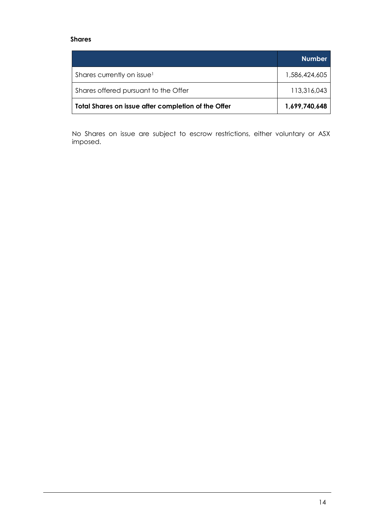# **Shares**

|                                                     | <b>Number</b> |
|-----------------------------------------------------|---------------|
| Shares currently on issue <sup>1</sup>              | 1,586,424,605 |
| Shares offered pursuant to the Offer                | 113,316,043   |
| Total Shares on issue after completion of the Offer | 1,699,740,648 |

No Shares on issue are subject to escrow restrictions, either voluntary or ASX imposed.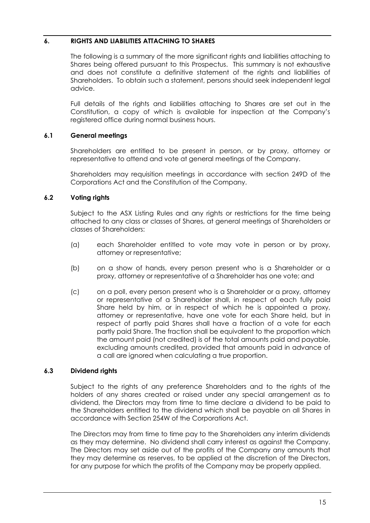# <span id="page-16-0"></span>**6. RIGHTS AND LIABILITIES ATTACHING TO SHARES**

The following is a summary of the more significant rights and liabilities attaching to Shares being offered pursuant to this Prospectus. This summary is not exhaustive and does not constitute a definitive statement of the rights and liabilities of Shareholders. To obtain such a statement, persons should seek independent legal advice.

Full details of the rights and liabilities attaching to Shares are set out in the Constitution, a copy of which is available for inspection at the Company's registered office during normal business hours.

# **6.1 General meetings**

Shareholders are entitled to be present in person, or by proxy, attorney or representative to attend and vote at general meetings of the Company.

Shareholders may requisition meetings in accordance with section 249D of the Corporations Act and the Constitution of the Company.

# **6.2 Voting rights**

Subject to the ASX Listing Rules and any rights or restrictions for the time being attached to any class or classes of Shares, at general meetings of Shareholders or classes of Shareholders:

- (a) each Shareholder entitled to vote may vote in person or by proxy, attorney or representative;
- (b) on a show of hands, every person present who is a Shareholder or a proxy, attorney or representative of a Shareholder has one vote; and
- (c) on a poll, every person present who is a Shareholder or a proxy, attorney or representative of a Shareholder shall, in respect of each fully paid Share held by him, or in respect of which he is appointed a proxy, attorney or representative, have one vote for each Share held, but in respect of partly paid Shares shall have a fraction of a vote for each partly paid Share. The fraction shall be equivalent to the proportion which the amount paid (not credited) is of the total amounts paid and payable, excluding amounts credited, provided that amounts paid in advance of a call are ignored when calculating a true proportion.

#### **6.3 Dividend rights**

Subject to the rights of any preference Shareholders and to the rights of the holders of any shares created or raised under any special arrangement as to dividend, the Directors may from time to time declare a dividend to be paid to the Shareholders entitled to the dividend which shall be payable on all Shares in accordance with Section 254W of the Corporations Act.

The Directors may from time to time pay to the Shareholders any interim dividends as they may determine. No dividend shall carry interest as against the Company. The Directors may set aside out of the profits of the Company any amounts that they may determine as reserves, to be applied at the discretion of the Directors, for any purpose for which the profits of the Company may be properly applied.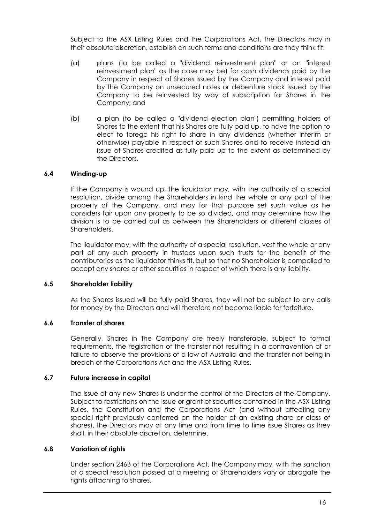Subject to the ASX Listing Rules and the Corporations Act, the Directors may in their absolute discretion, establish on such terms and conditions are they think fit:

- (a) plans (to be called a "dividend reinvestment plan" or an "interest reinvestment plan" as the case may be) for cash dividends paid by the Company in respect of Shares issued by the Company and interest paid by the Company on unsecured notes or debenture stock issued by the Company to be reinvested by way of subscription for Shares in the Company; and
- (b) a plan (to be called a "dividend election plan") permitting holders of Shares to the extent that his Shares are fully paid up, to have the option to elect to forego his right to share in any dividends (whether interim or otherwise) payable in respect of such Shares and to receive instead an issue of Shares credited as fully paid up to the extent as determined by the Directors.

# **6.4 Winding-up**

If the Company is wound up, the liquidator may, with the authority of a special resolution, divide among the Shareholders in kind the whole or any part of the property of the Company, and may for that purpose set such value as he considers fair upon any property to be so divided, and may determine how the division is to be carried out as between the Shareholders or different classes of Shareholders.

The liquidator may, with the authority of a special resolution, vest the whole or any part of any such property in trustees upon such trusts for the benefit of the contributories as the liquidator thinks fit, but so that no Shareholder is compelled to accept any shares or other securities in respect of which there is any liability.

#### **6.5 Shareholder liability**

As the Shares issued will be fully paid Shares, they will not be subject to any calls for money by the Directors and will therefore not become liable for forfeiture.

#### **6.6 Transfer of shares**

Generally, Shares in the Company are freely transferable, subject to formal requirements, the registration of the transfer not resulting in a contravention of or failure to observe the provisions of a law of Australia and the transfer not being in breach of the Corporations Act and the ASX Listing Rules.

#### **6.7 Future increase in capital**

The issue of any new Shares is under the control of the Directors of the Company. Subject to restrictions on the issue or grant of securities contained in the ASX Listing Rules, the Constitution and the Corporations Act (and without affecting any special right previously conferred on the holder of an existing share or class of shares), the Directors may at any time and from time to time issue Shares as they shall, in their absolute discretion, determine.

#### **6.8 Variation of rights**

Under section 246B of the Corporations Act, the Company may, with the sanction of a special resolution passed at a meeting of Shareholders vary or abrogate the rights attaching to shares.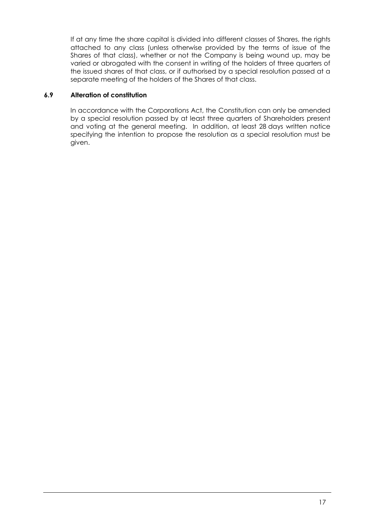If at any time the share capital is divided into different classes of Shares, the rights attached to any class (unless otherwise provided by the terms of issue of the Shares of that class), whether or not the Company is being wound up, may be varied or abrogated with the consent in writing of the holders of three quarters of the issued shares of that class, or if authorised by a special resolution passed at a separate meeting of the holders of the Shares of that class.

# **6.9 Alteration of constitution**

In accordance with the Corporations Act, the Constitution can only be amended by a special resolution passed by at least three quarters of Shareholders present and voting at the general meeting. In addition, at least 28 days written notice specifying the intention to propose the resolution as a special resolution must be given.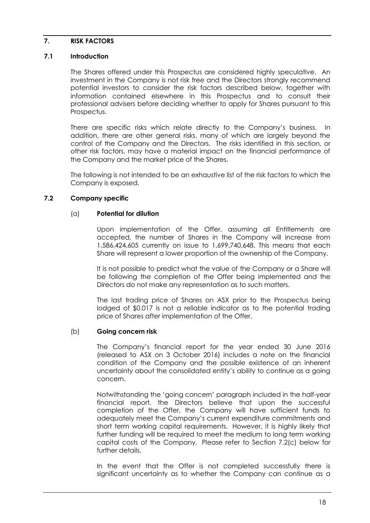#### <span id="page-19-0"></span>**7. RISK FACTORS**

## **7.1 Introduction**

The Shares offered under this Prospectus are considered highly speculative. An investment in the Company is not risk free and the Directors strongly recommend potential investors to consider the risk factors described below, together with information contained elsewhere in this Prospectus and to consult their professional advisers before deciding whether to apply for Shares pursuant to this Prospectus.

There are specific risks which relate directly to the Company's business. In addition, there are other general risks, many of which are largely beyond the control of the Company and the Directors. The risks identified in this section, or other risk factors, may have a material impact on the financial performance of the Company and the market price of the Shares.

The following is not intended to be an exhaustive list of the risk factors to which the Company is exposed.

# **7.2 Company specific**

#### (a) **Potential for dilution**

Upon implementation of the Offer, assuming all Entitlements are accepted, the number of Shares in the Company will increase from 1,586,424,605 currently on issue to 1,699,740,648. This means that each Share will represent a lower proportion of the ownership of the Company.

It is not possible to predict what the value of the Company or a Share will be following the completion of the Offer being implemented and the Directors do not make any representation as to such matters.

The last trading price of Shares on ASX prior to the Prospectus being lodged of \$0.017 is not a reliable indicator as to the potential trading price of Shares after implementation of the Offer.

#### (b) **Going concern risk**

The Company's financial report for the year ended 30 June 2016 (released to ASX on 3 October 2016) includes a note on the financial condition of the Company and the possible existence of an inherent uncertainty about the consolidated entity's ability to continue as a going concern.

Notwithstanding the 'going concern' paragraph included in the half-year financial report, the Directors believe that upon the successful completion of the Offer, the Company will have sufficient funds to adequately meet the Company's current expenditure commitments and short term working capital requirements. However, it is highly likely that further funding will be required to meet the medium to long term working capital costs of the Company. Please refer to Section [7.2\(c\)](#page-20-0) below for further details.

In the event that the Offer is not completed successfully there is significant uncertainty as to whether the Company can continue as a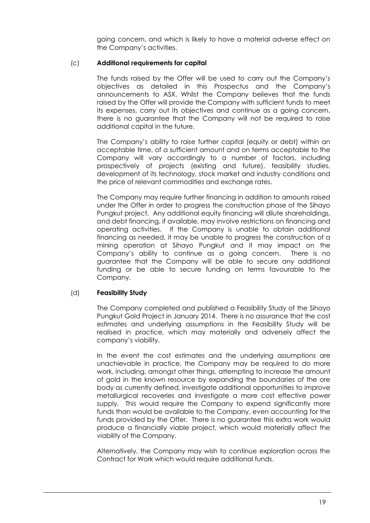going concern, and which is likely to have a material adverse effect on the Company's activities.

## <span id="page-20-0"></span>(c) **Additional requirements for capital**

The funds raised by the Offer will be used to carry out the Company's objectives as detailed in this Prospectus and the Company's announcements to ASX. Whilst the Company believes that the funds raised by the Offer will provide the Company with sufficient funds to meet its expenses, carry out its objectives and continue as a going concern, there is no guarantee that the Company will not be required to raise additional capital in the future.

The Company's ability to raise further capital (equity or debt) within an acceptable time, of a sufficient amount and on terms acceptable to the Company will vary accordingly to a number of factors, including prospectively of projects (existing and future), feasibility studies, development of its technology, stock market and industry conditions and the price of relevant commodities and exchange rates.

The Company may require further financing in addition to amounts raised under the Offer in order to progress the construction phase of the Sihayo Pungkut project. Any additional equity financing will dilute shareholdings, and debt financing, if available, may involve restrictions on financing and operating activities. If the Company is unable to obtain additional financing as needed, it may be unable to progress the construction of a mining operation at Sihayo Pungkut and it may impact on the Company's ability to continue as a going concern. There is no guarantee that the Company will be able to secure any additional funding or be able to secure funding on terms favourable to the Company.

#### (d) **Feasibility Study**

The Company completed and published a Feasibility Study of the Sihayo Pungkut Gold Project in January 2014. There is no assurance that the cost estimates and underlying assumptions in the Feasibility Study will be realised in practice, which may materially and adversely affect the company's viability.

In the event the cost estimates and the underlying assumptions are unachievable in practice, the Company may be required to do more work, including, amongst other things, attempting to increase the amount of gold in the known resource by expanding the boundaries of the ore body as currently defined, investigate additional opportunities to improve metallurgical recoveries and investigate a more cost effective power supply. This would require the Company to expend significantly more funds than would be available to the Company, even accounting for the funds provided by the Offer. There is no guarantee this extra work would produce a financially viable project, which would materially affect the viability of the Company.

Alternatively, the Company may wish to continue exploration across the Contract for Work which would require additional funds.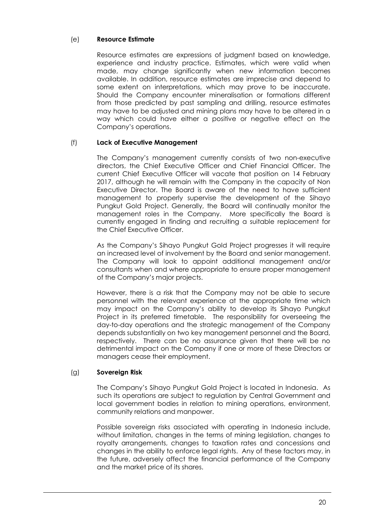# (e) **Resource Estimate**

Resource estimates are expressions of judgment based on knowledge, experience and industry practice. Estimates, which were valid when made, may change significantly when new information becomes available. In addition, resource estimates are imprecise and depend to some extent on interpretations, which may prove to be inaccurate. Should the Company encounter mineralisation or formations different from those predicted by past sampling and drilling, resource estimates may have to be adjusted and mining plans may have to be altered in a way which could have either a positive or negative effect on the Company's operations.

# (f) **Lack of Executive Management**

The Company's management currently consists of two non-executive directors, the Chief Executive Officer and Chief Financial Officer. The current Chief Executive Officer will vacate that position on 14 February 2017, although he will remain with the Company in the capacity of Non Executive Director. The Board is aware of the need to have sufficient management to properly supervise the development of the Sihayo Pungkut Gold Project. Generally, the Board will continually monitor the management roles in the Company. More specifically the Board is currently engaged in finding and recruiting a suitable replacement for the Chief Executive Officer.

As the Company's Sihayo Pungkut Gold Project progresses it will require an increased level of involvement by the Board and senior management. The Company will look to appoint additional management and/or consultants when and where appropriate to ensure proper management of the Company's major projects.

However, there is a risk that the Company may not be able to secure personnel with the relevant experience at the appropriate time which may impact on the Company's ability to develop its Sihayo Pungkut Project in its preferred timetable. The responsibility for overseeing the day-to-day operations and the strategic management of the Company depends substantially on two key management personnel and the Board, respectively. There can be no assurance given that there will be no detrimental impact on the Company if one or more of these Directors or managers cease their employment.

#### (g) **Sovereign Risk**

The Company's Sihayo Pungkut Gold Project is located in Indonesia. As such its operations are subject to regulation by Central Government and local government bodies in relation to mining operations, environment, community relations and manpower.

Possible sovereign risks associated with operating in Indonesia include, without limitation, changes in the terms of mining legislation, changes to royalty arrangements, changes to taxation rates and concessions and changes in the ability to enforce legal rights. Any of these factors may, in the future, adversely affect the financial performance of the Company and the market price of its shares.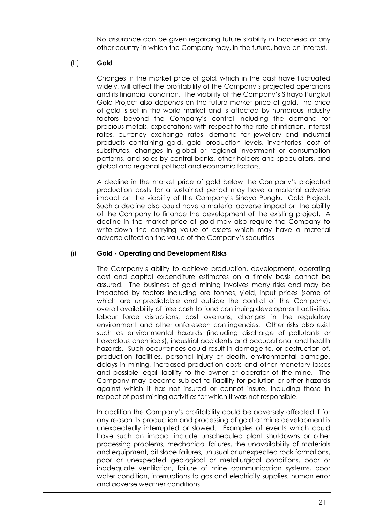No assurance can be given regarding future stability in Indonesia or any other country in which the Company may, in the future, have an interest.

# (h) **Gold**

Changes in the market price of gold, which in the past have fluctuated widely, will affect the profitability of the Company's projected operations and its financial condition. The viability of the Company's Sihayo Pungkut Gold Project also depends on the future market price of gold. The price of gold is set in the world market and is affected by numerous industry factors beyond the Company's control including the demand for precious metals, expectations with respect to the rate of inflation, interest rates, currency exchange rates, demand for jewellery and industrial products containing gold, gold production levels, inventories, cost of substitutes, changes in global or regional investment or consumption patterns, and sales by central banks, other holders and speculators, and global and regional political and economic factors.

A decline in the market price of gold below the Company's projected production costs for a sustained period may have a material adverse impact on the viability of the Company's Sihayo Pungkut Gold Project. Such a decline also could have a material adverse impact on the ability of the Company to finance the development of the existing project. A decline in the market price of gold may also require the Company to write-down the carrying value of assets which may have a material adverse effect on the value of the Company's securities

# (i) **Gold - Operating and Development Risks**

The Company's ability to achieve production, development, operating cost and capital expenditure estimates on a timely basis cannot be assured. The business of gold mining involves many risks and may be impacted by factors including ore tonnes, yield, input prices (some of which are unpredictable and outside the control of the Company), overall availability of free cash to fund continuing development activities, labour force disruptions, cost overruns, changes in the regulatory environment and other unforeseen contingencies. Other risks also exist such as environmental hazards (including discharge of pollutants or hazardous chemicals), industrial accidents and occupational and health hazards. Such occurrences could result in damage to, or destruction of, production facilities, personal injury or death, environmental damage, delays in mining, increased production costs and other monetary losses and possible legal liability to the owner or operator of the mine. The Company may become subject to liability for pollution or other hazards against which it has not insured or cannot insure, including those in respect of past mining activities for which it was not responsible.

In addition the Company's profitability could be adversely affected if for any reason its production and processing of gold or mine development is unexpectedly interrupted or slowed. Examples of events which could have such an impact include unscheduled plant shutdowns or other processing problems, mechanical failures, the unavailability of materials and equipment, pit slope failures, unusual or unexpected rock formations, poor or unexpected geological or metallurgical conditions, poor or inadequate ventilation, failure of mine communication systems, poor water condition, interruptions to gas and electricity supplies, human error and adverse weather conditions.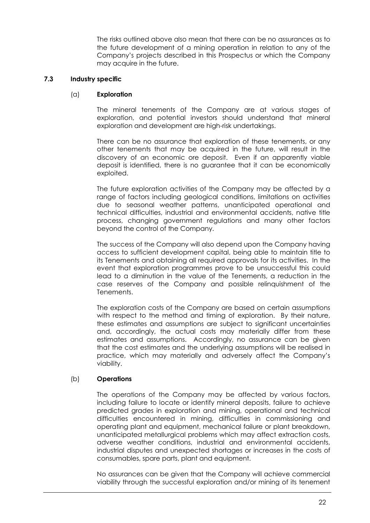The risks outlined above also mean that there can be no assurances as to the future development of a mining operation in relation to any of the Company's projects described in this Prospectus or which the Company may acquire in the future.

# **7.3 Industry specific**

#### (a) **Exploration**

The mineral tenements of the Company are at various stages of exploration, and potential investors should understand that mineral exploration and development are high-risk undertakings.

There can be no assurance that exploration of these tenements, or any other tenements that may be acquired in the future, will result in the discovery of an economic ore deposit. Even if an apparently viable deposit is identified, there is no guarantee that it can be economically exploited.

The future exploration activities of the Company may be affected by a range of factors including geological conditions, limitations on activities due to seasonal weather patterns, unanticipated operational and technical difficulties, industrial and environmental accidents, native title process, changing government regulations and many other factors beyond the control of the Company.

The success of the Company will also depend upon the Company having access to sufficient development capital, being able to maintain title to its Tenements and obtaining all required approvals for its activities. In the event that exploration programmes prove to be unsuccessful this could lead to a diminution in the value of the Tenements, a reduction in the case reserves of the Company and possible relinquishment of the Tenements.

The exploration costs of the Company are based on certain assumptions with respect to the method and timing of exploration. By their nature, these estimates and assumptions are subject to significant uncertainties and, accordingly, the actual costs may materially differ from these estimates and assumptions. Accordingly, no assurance can be given that the cost estimates and the underlying assumptions will be realised in practice, which may materially and adversely affect the Company's viability.

#### (b) **Operations**

The operations of the Company may be affected by various factors, including failure to locate or identify mineral deposits, failure to achieve predicted grades in exploration and mining, operational and technical difficulties encountered in mining, difficulties in commissioning and operating plant and equipment, mechanical failure or plant breakdown, unanticipated metallurgical problems which may affect extraction costs, adverse weather conditions, industrial and environmental accidents, industrial disputes and unexpected shortages or increases in the costs of consumables, spare parts, plant and equipment.

No assurances can be given that the Company will achieve commercial viability through the successful exploration and/or mining of its tenement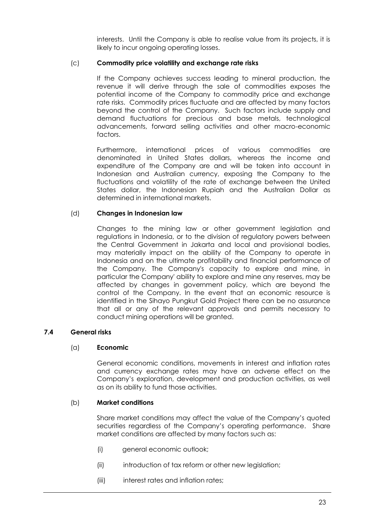interests. Until the Company is able to realise value from its projects, it is likely to incur ongoing operating losses.

#### (c) **Commodity price volatility and exchange rate risks**

If the Company achieves success leading to mineral production, the revenue it will derive through the sale of commodities exposes the potential income of the Company to commodity price and exchange rate risks. Commodity prices fluctuate and are affected by many factors beyond the control of the Company. Such factors include supply and demand fluctuations for precious and base metals, technological advancements, forward selling activities and other macro-economic factors.

Furthermore, international prices of various commodities are denominated in United States dollars, whereas the income and expenditure of the Company are and will be taken into account in Indonesian and Australian currency, exposing the Company to the fluctuations and volatility of the rate of exchange between the United States dollar, the Indonesian Rupiah and the Australian Dollar as determined in international markets.

#### (d) **Changes in Indonesian law**

Changes to the mining law or other government legislation and regulations in Indonesia, or to the division of regulatory powers between the Central Government in Jakarta and local and provisional bodies, may materially impact on the ability of the Company to operate in Indonesia and on the ultimate profitability and financial performance of the Company. The Company's capacity to explore and mine, in particular the Company' ability to explore and mine any reserves, may be affected by changes in government policy, which are beyond the control of the Company. In the event that an economic resource is identified in the Sihayo Pungkut Gold Project there can be no assurance that all or any of the relevant approvals and permits necessary to conduct mining operations will be granted.

#### **7.4 General risks**

#### (a) **Economic**

General economic conditions, movements in interest and inflation rates and currency exchange rates may have an adverse effect on the Company's exploration, development and production activities, as well as on its ability to fund those activities.

#### (b) **Market conditions**

Share market conditions may affect the value of the Company's quoted securities regardless of the Company's operating performance. Share market conditions are affected by many factors such as:

- (i) general economic outlook;
- (ii) introduction of tax reform or other new legislation;
- (iii) interest rates and inflation rates;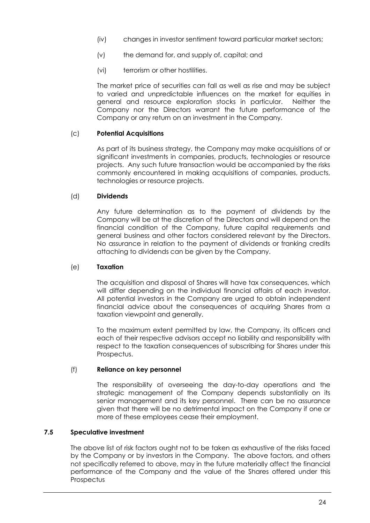- (iv) changes in investor sentiment toward particular market sectors;
- (v) the demand for, and supply of, capital; and
- (vi) terrorism or other hostilities.

The market price of securities can fall as well as rise and may be subject to varied and unpredictable influences on the market for equities in general and resource exploration stocks in particular. Neither the Company nor the Directors warrant the future performance of the Company or any return on an investment in the Company.

# (c) **Potential Acquisitions**

As part of its business strategy, the Company may make acquisitions of or significant investments in companies, products, technologies or resource projects. Any such future transaction would be accompanied by the risks commonly encountered in making acquisitions of companies, products, technologies or resource projects.

# (d) **Dividends**

Any future determination as to the payment of dividends by the Company will be at the discretion of the Directors and will depend on the financial condition of the Company, future capital requirements and general business and other factors considered relevant by the Directors. No assurance in relation to the payment of dividends or franking credits attaching to dividends can be given by the Company.

# (e) **Taxation**

The acquisition and disposal of Shares will have tax consequences, which will differ depending on the individual financial affairs of each investor. All potential investors in the Company are urged to obtain independent financial advice about the consequences of acquiring Shares from a taxation viewpoint and generally.

To the maximum extent permitted by law, the Company, its officers and each of their respective advisors accept no liability and responsibility with respect to the taxation consequences of subscribing for Shares under this Prospectus.

#### (f) **Reliance on key personnel**

The responsibility of overseeing the day-to-day operations and the strategic management of the Company depends substantially on its senior management and its key personnel. There can be no assurance given that there will be no detrimental impact on the Company if one or more of these employees cease their employment.

# **7.5 Speculative investment**

The above list of risk factors ought not to be taken as exhaustive of the risks faced by the Company or by investors in the Company. The above factors, and others not specifically referred to above, may in the future materially affect the financial performance of the Company and the value of the Shares offered under this **Prospectus**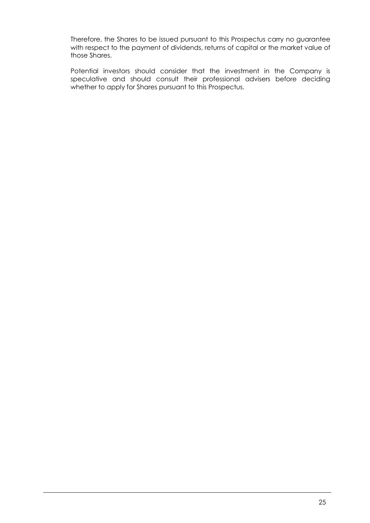Therefore, the Shares to be issued pursuant to this Prospectus carry no guarantee with respect to the payment of dividends, returns of capital or the market value of those Shares.

Potential investors should consider that the investment in the Company is speculative and should consult their professional advisers before deciding whether to apply for Shares pursuant to this Prospectus.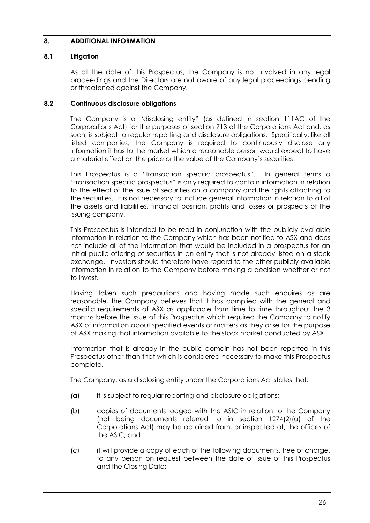# <span id="page-27-0"></span>**8. ADDITIONAL INFORMATION**

## **8.1 Litigation**

As at the date of this Prospectus, the Company is not involved in any legal proceedings and the Directors are not aware of any legal proceedings pending or threatened against the Company.

#### **8.2 Continuous disclosure obligations**

The Company is a "disclosing entity" (as defined in section 111AC of the Corporations Act) for the purposes of section 713 of the Corporations Act and, as such, is subject to regular reporting and disclosure obligations. Specifically, like all listed companies, the Company is required to continuously disclose any information it has to the market which a reasonable person would expect to have a material effect on the price or the value of the Company's securities.

This Prospectus is a "transaction specific prospectus". In general terms a "transaction specific prospectus" is only required to contain information in relation to the effect of the issue of securities on a company and the rights attaching to the securities. It is not necessary to include general information in relation to all of the assets and liabilities, financial position, profits and losses or prospects of the issuing company.

This Prospectus is intended to be read in conjunction with the publicly available information in relation to the Company which has been notified to ASX and does not include all of the information that would be included in a prospectus for an initial public offering of securities in an entity that is not already listed on a stock exchange. Investors should therefore have regard to the other publicly available information in relation to the Company before making a decision whether or not to invest.

Having taken such precautions and having made such enquires as are reasonable, the Company believes that it has complied with the general and specific requirements of ASX as applicable from time to time throughout the 3 months before the issue of this Prospectus which required the Company to notify ASX of information about specified events or matters as they arise for the purpose of ASX making that information available to the stock market conducted by ASX.

Information that is already in the public domain has not been reported in this Prospectus other than that which is considered necessary to make this Prospectus complete.

The Company, as a disclosing entity under the Corporations Act states that:

- (a) it is subject to regular reporting and disclosure obligations;
- (b) copies of documents lodged with the ASIC in relation to the Company (not being documents referred to in section 1274(2)(a) of the Corporations Act) may be obtained from, or inspected at, the offices of the ASIC; and
- (c) it will provide a copy of each of the following documents, free of charge, to any person on request between the date of issue of this Prospectus and the Closing Date: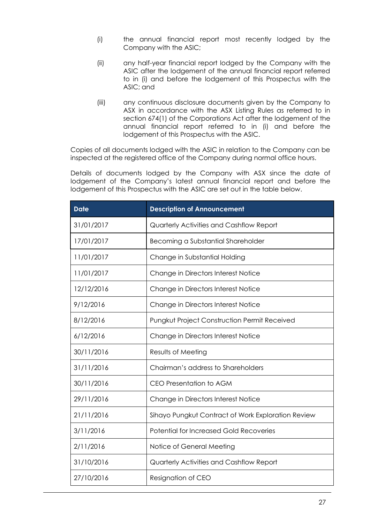- (i) the annual financial report most recently lodged by the Company with the ASIC;
- (ii) any half-year financial report lodged by the Company with the ASIC after the lodgement of the annual financial report referred to in (i) and before the lodgement of this Prospectus with the ASIC; and
- (iii) any continuous disclosure documents given by the Company to ASX in accordance with the ASX Listing Rules as referred to in section 674(1) of the Corporations Act after the lodgement of the annual financial report referred to in (i) and before the lodgement of this Prospectus with the ASIC.

Copies of all documents lodged with the ASIC in relation to the Company can be inspected at the registered office of the Company during normal office hours.

Details of documents lodged by the Company with ASX since the date of lodgement of the Company's latest annual financial report and before the lodgement of this Prospectus with the ASIC are set out in the table below.

| <b>Date</b> | <b>Description of Announcement</b>                  |
|-------------|-----------------------------------------------------|
| 31/01/2017  | Quarterly Activities and Cashflow Report            |
| 17/01/2017  | Becoming a Substantial Shareholder                  |
| 11/01/2017  | Change in Substantial Holding                       |
| 11/01/2017  | Change in Directors Interest Notice                 |
| 12/12/2016  | Change in Directors Interest Notice                 |
| 9/12/2016   | Change in Directors Interest Notice                 |
| 8/12/2016   | <b>Pungkut Project Construction Permit Received</b> |
| 6/12/2016   | Change in Directors Interest Notice                 |
| 30/11/2016  | Results of Meeting                                  |
| 31/11/2016  | Chairman's address to Shareholders                  |
| 30/11/2016  | <b>CEO Presentation to AGM</b>                      |
| 29/11/2016  | Change in Directors Interest Notice                 |
| 21/11/2016  | Sihayo Pungkut Contract of Work Exploration Review  |
| 3/11/2016   | <b>Potential for Increased Gold Recoveries</b>      |
| 2/11/2016   | Notice of General Meeting                           |
| 31/10/2016  | Quarterly Activities and Cashflow Report            |
| 27/10/2016  | Resignation of CEO                                  |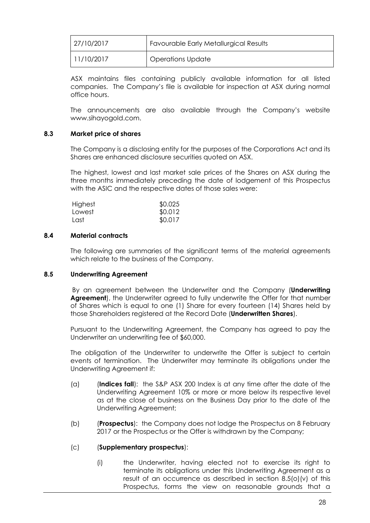| 27/10/2017 | Favourable Early Metallurgical Results |
|------------|----------------------------------------|
| 11/10/2017 | Operations Update                      |

ASX maintains files containing publicly available information for all listed companies. The Company's file is available for inspection at ASX during normal office hours.

The announcements are also available through the Company's website www.sihayogold.com.

#### **8.3 Market price of shares**

The Company is a disclosing entity for the purposes of the Corporations Act and its Shares are enhanced disclosure securities quoted on ASX.

The highest, lowest and last market sale prices of the Shares on ASX during the three months immediately preceding the date of lodgement of this Prospectus with the ASIC and the respective dates of those sales were:

| Highest | \$0.025 |
|---------|---------|
| Lowest  | \$0.012 |
| Last    | \$0.017 |

#### **8.4 Material contracts**

The following are summaries of the significant terms of the material agreements which relate to the business of the Company.

#### <span id="page-29-0"></span>**8.5 Underwriting Agreement**

By an agreement between the Underwriter and the Company (**Underwriting Agreement**), the Underwriter agreed to fully underwrite the Offer for that number of Shares which is equal to one (1) Share for every fourteen (14) Shares held by those Shareholders registered at the Record Date (**Underwritten Shares**).

Pursuant to the Underwriting Agreement, the Company has agreed to pay the Underwriter an underwriting fee of \$60,000.

The obligation of the Underwriter to underwrite the Offer is subject to certain events of termination. The Underwriter may terminate its obligations under the Underwriting Agreement if:

- (a) (**Indices fall**): the S&P ASX 200 Index is at any time after the date of the Underwriting Agreement 10% or more or more below its respective level as at the close of business on the Business Day prior to the date of the Underwriting Agreement;
- (b) (**Prospectus**): the Company does not lodge the Prospectus on 8 February 2017 or the Prospectus or the Offer is withdrawn by the Company;

#### (c) (**Supplementary prospectus**):

(i) the Underwriter, having elected not to exercise its right to terminate its obligations under this Underwriting Agreement as a result of an occurrence as described in section [8.5\(o\)](#page-29-0)[\(v\)](#page-31-0) of this Prospectus, forms the view on reasonable grounds that a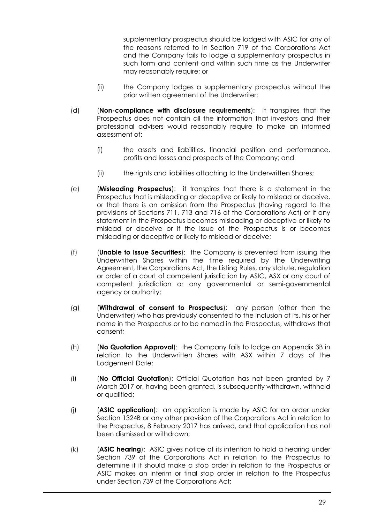supplementary prospectus should be lodged with ASIC for any of the reasons referred to in Section 719 of the Corporations Act and the Company fails to lodge a supplementary prospectus in such form and content and within such time as the Underwriter may reasonably require; or

- (ii) the Company lodges a supplementary prospectus without the prior written agreement of the Underwriter;
- (d) (**Non-compliance with disclosure requirements**): it transpires that the Prospectus does not contain all the information that investors and their professional advisers would reasonably require to make an informed assessment of:
	- (i) the assets and liabilities, financial position and performance, profits and losses and prospects of the Company; and
	- (ii) the rights and liabilities attaching to the Underwritten Shares;
- (e) (**Misleading Prospectus**): it transpires that there is a statement in the Prospectus that is misleading or deceptive or likely to mislead or deceive, or that there is an omission from the Prospectus (having regard to the provisions of Sections 711, 713 and 716 of the Corporations Act) or if any statement in the Prospectus becomes misleading or deceptive or likely to mislead or deceive or if the issue of the Prospectus is or becomes misleading or deceptive or likely to mislead or deceive;
- (f) (**Unable to Issue Securities**): the Company is prevented from issuing the Underwritten Shares within the time required by the Underwriting Agreement, the Corporations Act, the Listing Rules, any statute, regulation or order of a court of competent jurisdiction by ASIC, ASX or any court of competent jurisdiction or any governmental or semi-governmental agency or authority;
- (g) (**Withdrawal of consent to Prospectus**): any person (other than the Underwriter) who has previously consented to the inclusion of its, his or her name in the Prospectus or to be named in the Prospectus, withdraws that consent;
- (h) (**No Quotation Approval**): the Company fails to lodge an Appendix 3B in relation to the Underwritten Shares with ASX within 7 days of the Lodgement Date;
- (i) (**No Official Quotation**): Official Quotation has not been granted by 7 March 2017 or, having been granted, is subsequently withdrawn, withheld or qualified;
- (j) (**ASIC application**): an application is made by ASIC for an order under Section 1324B or any other provision of the Corporations Act in relation to the Prospectus, 8 February 2017 has arrived, and that application has not been dismissed or withdrawn;
- (k) (**ASIC hearing**): ASIC gives notice of its intention to hold a hearing under Section 739 of the Corporations Act in relation to the Prospectus to determine if it should make a stop order in relation to the Prospectus or ASIC makes an interim or final stop order in relation to the Prospectus under Section 739 of the Corporations Act;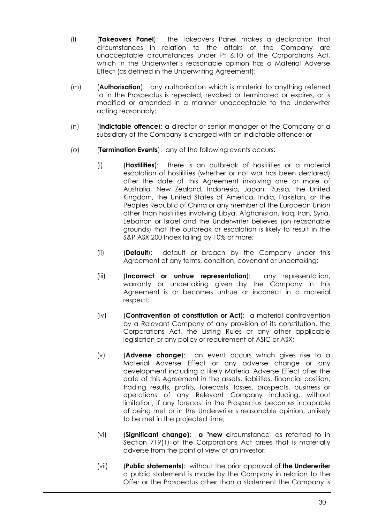- (l) (**Takeovers Panel**): the Takeovers Panel makes a declaration that circumstances in relation to the affairs of the Company are unacceptable circumstances under Pt 6.10 of the Corporations Act, which in the Underwriter's reasonable opinion has a Material Adverse Effect (as defined in the Underwriting Agreement);
- (m) (**Authorisation**): any authorisation which is material to anything referred to in the Prospectus is repealed, revoked or terminated or expires, or is modified or amended in a manner unacceptable to the Underwriter acting reasonably;
- (n) (**Indictable offence**): a director or senior manager of the Company or a subsidiary of the Company is charged with an indictable offence; or
- <span id="page-31-0"></span>(o) (**Termination Events**): any of the following events occurs:
	- (i) (**Hostilities**): there is an outbreak of hostilities or a material escalation of hostilities (whether or not war has been declared) after the date of this Agreement involving one or more of Australia, New Zealand, Indonesia, Japan, Russia, the United Kingdom, the United States of America, India, Pakistan, or the Peoples Republic of China or any member of the European Union other than hostilities involving Libya, Afghanistan, Iraq, Iran, Syria, Lebanon or Israel and the Underwriter believes (on reasonable grounds) that the outbreak or escalation is likely to result in the S&P ASX 200 Index falling by 10% or more;
	- (ii) (**Default**): default or breach by the Company under this Agreement of any terms, condition, covenant or undertaking;
	- (iii) (**Incorrect or untrue representation**): any representation, warranty or undertaking given by the Company in this Agreement is or becomes untrue or incorrect in a material respect;
	- (iv) (**Contravention of constitution or Act**): a material contravention by a Relevant Company of any provision of its constitution, the Corporations Act, the Listing Rules or any other applicable legislation or any policy or requirement of ASIC or ASX;
	- (v) (**Adverse change**): an event occurs which gives rise to a Material Adverse Effect or any adverse change or any development including a likely Material Adverse Effect after the date of this Agreement in the assets, liabilities, financial position, trading results, profits, forecasts, losses, prospects, business or operations of any Relevant Company including, without limitation, if any forecast in the Prospectus becomes incapable of being met or in the Underwriter's reasonable opinion, unlikely to be met in the projected time;
	- (vi) (**Significant change): a "new c**ircumstance" as referred to in Section 719(1) of the Corporations Act arises that is materially adverse from the point of view of an investor;
	- (vii) (**Public statements**): without the prior approval o**f the Underwriter** a public statement is made by the Company in relation to the Offer or the Prospectus other than a statement the Company is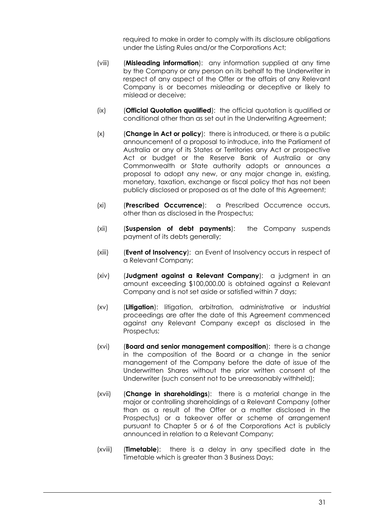required to make in order to comply with its disclosure obligations under the Listing Rules and/or the Corporations Act;

- (viii) (**Misleading information**): any information supplied at any time by the Company or any person on its behalf to the Underwriter in respect of any aspect of the Offer or the affairs of any Relevant Company is or becomes misleading or deceptive or likely to mislead or deceive;
- (ix) (**Official Quotation qualified**): the official quotation is qualified or conditional other than as set out in the Underwriting Agreement;
- (x) (**Change in Act or policy**): there is introduced, or there is a public announcement of a proposal to introduce, into the Parliament of Australia or any of its States or Territories any Act or prospective Act or budget or the Reserve Bank of Australia or any Commonwealth or State authority adopts or announces a proposal to adopt any new, or any major change in, existing, monetary, taxation, exchange or fiscal policy that has not been publicly disclosed or proposed as at the date of this Agreement;
- (xi) (**Prescribed Occurrence**): a Prescribed Occurrence occurs, other than as disclosed in the Prospectus;
- (xii) (**Suspension of debt payments**): the Company suspends payment of its debts generally;
- (xiii) (**Event of Insolvency**): an Event of Insolvency occurs in respect of a Relevant Company;
- (xiv) (**Judgment against a Relevant Company**): a judgment in an amount exceeding \$100,000.00 is obtained against a Relevant Company and is not set aside or satisfied within 7 days;
- (xv) (**Litigation**): litigation, arbitration, administrative or industrial proceedings are after the date of this Agreement commenced against any Relevant Company except as disclosed in the Prospectus;
- (xvi) (**Board and senior management composition**): there is a change in the composition of the Board or a change in the senior management of the Company before the date of issue of the Underwritten Shares without the prior written consent of the Underwriter (such consent not to be unreasonably withheld);
- (xvii) (**Change in shareholdings**): there is a material change in the major or controlling shareholdings of a Relevant Company (other than as a result of the Offer or a matter disclosed in the Prospectus) or a takeover offer or scheme of arrangement pursuant to Chapter 5 or 6 of the Corporations Act is publicly announced in relation to a Relevant Company;
- (xviii) (**Timetable**): there is a delay in any specified date in the Timetable which is greater than 3 Business Days;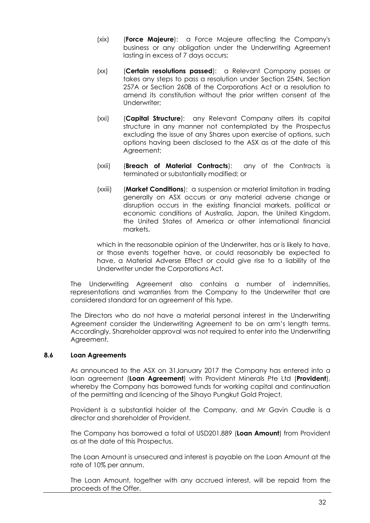- (xix) (**Force Majeure**): a Force Majeure affecting the Company's business or any obligation under the Underwriting Agreement lasting in excess of 7 days occurs;
- (xx) (**Certain resolutions passed**): a Relevant Company passes or takes any steps to pass a resolution under Section 254N, Section 257A or Section 260B of the Corporations Act or a resolution to amend its constitution without the prior written consent of the Underwriter;
- (xxi) (**Capital Structure**): any Relevant Company alters its capital structure in any manner not contemplated by the Prospectus excluding the issue of any Shares upon exercise of options, such options having been disclosed to the ASX as at the date of this Agreement;
- (xxii) (**Breach of Material Contracts**): any of the Contracts is terminated or substantially modified; or
- (xxiii) (**Market Conditions**): a suspension or material limitation in trading generally on ASX occurs or any material adverse change or disruption occurs in the existing financial markets, political or economic conditions of Australia, Japan, the United Kingdom, the United States of America or other international financial markets,

which in the reasonable opinion of the Underwriter, has or is likely to have, or those events together have, or could reasonably be expected to have, a Material Adverse Effect or could give rise to a liability of the Underwriter under the Corporations Act.

The Underwriting Agreement also contains a number of indemnities, representations and warranties from the Company to the Underwriter that are considered standard for an agreement of this type.

The Directors who do not have a material personal interest in the Underwriting Agreement consider the Underwriting Agreement to be on arm's length terms. Accordingly, Shareholder approval was not required to enter into the Underwriting Agreement.

#### <span id="page-33-0"></span>**8.6 Loan Agreements**

As announced to the ASX on 31January 2017 the Company has entered into a loan agreement (**Loan Agreement**) with Provident Minerals Pte Ltd (**Provident**), whereby the Company has borrowed funds for working capital and continuation of the permitting and licencing of the Sihayo Pungkut Gold Project.

Provident is a substantial holder of the Company, and Mr Gavin Caudle is a director and shareholder of Provident.

The Company has borrowed a total of USD201,889 (**Loan Amount**) from Provident as at the date of this Prospectus.

The Loan Amount is unsecured and interest is payable on the Loan Amount at the rate of 10% per annum.

The Loan Amount, together with any accrued interest, will be repaid from the proceeds of the Offer.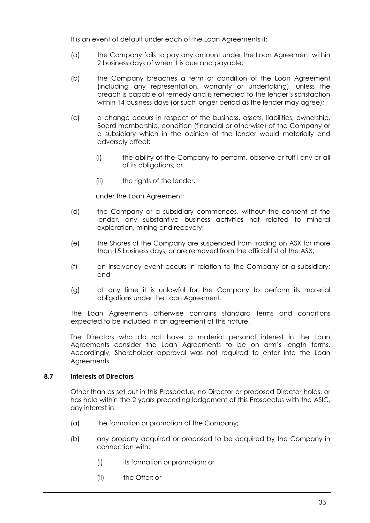It is an event of default under each of the Loan Agreements if:

- (a) the Company fails to pay any amount under the Loan Agreement within 2 business days of when it is due and payable;
- (b) the Company breaches a term or condition of the Loan Agreement (including any representation, warranty or undertaking), unless the breach is capable of remedy and is remedied to the lender's satisfaction within 14 business days (or such longer period as the lender may agree);
- (c) a change occurs in respect of the business, assets, liabilities, ownership, Board membership, condition (financial or otherwise) of the Company or a subsidiary which in the opinion of the lender would materially and adversely affect:
	- (i) the ability of the Company to perform, observe or fulfil any or all of its obligations; or
	- (ii) the rights of the lender,

under the Loan Agreement;

- (d) the Company or a subsidiary commences, without the consent of the lender, any substantive business activities not related to mineral exploration, mining and recovery;
- (e) the Shares of the Company are suspended from trading on ASX for more than 15 business days, or are removed from the official list of the ASX;
- (f) an insolvency event occurs in relation to the Company or a subsidiary; and
- (g) at any time it is unlawful for the Company to perform its material obligations under the Loan Agreement.

The Loan Agreements otherwise contains standard terms and conditions expected to be included in an agreement of this nature.

The Directors who do not have a material personal interest in the Loan Agreements consider the Loan Agreements to be on arm's length terms. Accordingly, Shareholder approval was not required to enter into the Loan Agreements.

#### **8.7 Interests of Directors**

Other than as set out in this Prospectus, no Director or proposed Director holds, or has held within the 2 years preceding lodgement of this Prospectus with the ASIC, any interest in:

- (a) the formation or promotion of the Company;
- (b) any property acquired or proposed to be acquired by the Company in connection with:
	- (i) its formation or promotion; or
	- (ii) the Offer; or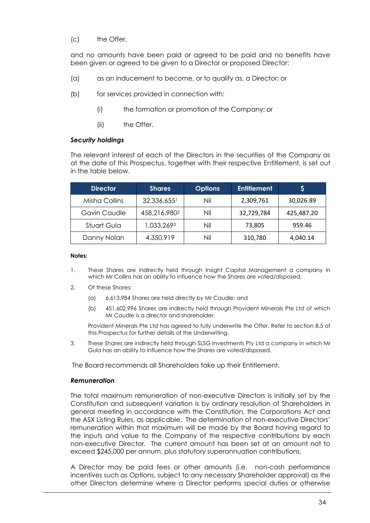(c) the Offer,

and no amounts have been paid or agreed to be paid and no benefits have been given or agreed to be given to a Director or proposed Director:

- (a) as an inducement to become, or to qualify as, a Director; or
- (b) for services provided in connection with:
	- (i) the formation or promotion of the Company; or
	- (ii) the Offer.

#### *Security holdings*

The relevant interest of each of the Directors in the securities of the Company as at the date of this Prospectus, together with their respective Entitlement, is set out in the table below.

| <b>Director</b> | <b>Shares</b> | <b>Options</b> | <b>Entitlement</b> | Ş          |
|-----------------|---------------|----------------|--------------------|------------|
| Misha Collins   | 32,336,6551   | Nil            | 2,309,761          | 30,026.89  |
| Gavin Caudle    | 458,216,9802  | Nil            | 32,729,784         | 425,487.20 |
| Stuart Gula     | 1,033,2693    | Nil            | 73,805             | 959.46     |
| Danny Nolan     | 4,350,919     | Nil            | 310,780            | 4,040.14   |

#### **Notes:**

- 1. These Shares are indirectly held through Insight Capital Management a company in which Mr Collins has an ability to influence how the Shares are voted/disposed.
- 2. Of these Shares:
	- (a) 6,613,984 Shares are held directly by Mr Caudle; and
	- (b) 451,602,996 Shares are indirectly held through Provident Minerals Pte Ltd of which Mr Caudle is a director and shareholder.

Provident Minerals Pte Ltd has agreed to fully underwrite the Offer. Refer to section [8.5](#page-29-0) of this Prospectus for further details of the Underwriting.

3. These Shares are indirectly held through SLSG Investments Pty Ltd a company in which Mr Gula has an ability to influence how the Shares are voted/disposed.

The Board recommends all Shareholders take up their Entitlement.

#### *Remuneration*

The total maximum remuneration of non-executive Directors is initially set by the Constitution and subsequent variation is by ordinary resolution of Shareholders in general meeting in accordance with the Constitution, the Corporations Act and the ASX Listing Rules, as applicable. The determination of non-executive Directors' remuneration within that maximum will be made by the Board having regard to the inputs and value to the Company of the respective contributions by each non-executive Director. The current amount has been set at an amount not to exceed \$245,000 per annum, plus statutory superannuation contributions.

A Director may be paid fees or other amounts (i.e. non-cash performance incentives such as Options, subject to any necessary Shareholder approval) as the other Directors determine where a Director performs special duties or otherwise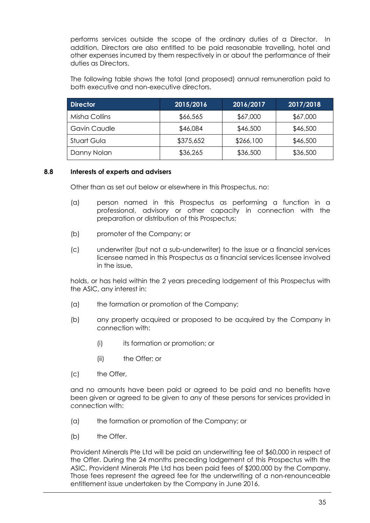performs services outside the scope of the ordinary duties of a Director. In addition, Directors are also entitled to be paid reasonable travelling, hotel and other expenses incurred by them respectively in or about the performance of their duties as Directors.

The following table shows the total (and proposed) annual remuneration paid to both executive and non-executive directors.

| <b>Director</b> | 2015/2016 | 2016/2017 | 2017/2018 |
|-----------------|-----------|-----------|-----------|
| Misha Collins   | \$66,565  | \$67,000  | \$67,000  |
| Gavin Caudle    | \$46,084  | \$46,500  | \$46,500  |
| Stuart Gula     | \$375,652 | \$266,100 | \$46,500  |
| Danny Nolan     | \$36,265  | \$36,500  | \$36,500  |

#### **8.8 Interests of experts and advisers**

Other than as set out below or elsewhere in this Prospectus, no:

- (a) person named in this Prospectus as performing a function in a professional, advisory or other capacity in connection with the preparation or distribution of this Prospectus;
- (b) promoter of the Company; or
- (c) underwriter (but not a sub-underwriter) to the issue or a financial services licensee named in this Prospectus as a financial services licensee involved in the issue,

holds, or has held within the 2 years preceding lodgement of this Prospectus with the ASIC, any interest in:

- (a) the formation or promotion of the Company;
- (b) any property acquired or proposed to be acquired by the Company in connection with:
	- (i) its formation or promotion; or
	- (ii) the Offer; or
- (c) the Offer,

and no amounts have been paid or agreed to be paid and no benefits have been given or agreed to be given to any of these persons for services provided in connection with:

- (a) the formation or promotion of the Company; or
- (b) the Offer.

Provident Minerals Pte Ltd will be paid an underwriting fee of \$60,000 in respect of the Offer. During the 24 months preceding lodgement of this Prospectus with the ASIC, Provident Minerals Pte Ltd has been paid fees of \$200,000 by the Company. Those fees represent the agreed fee for the underwriting of a non-renounceable entitlement issue undertaken by the Company in June 2016.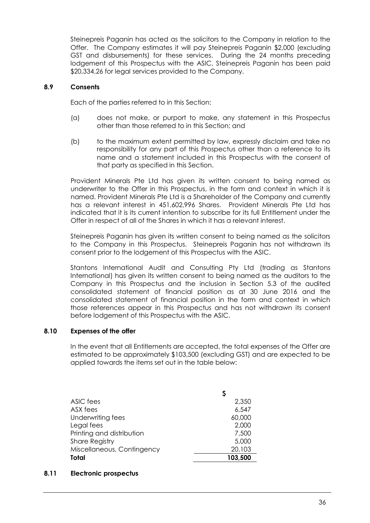Steinepreis Paganin has acted as the solicitors to the Company in relation to the Offer. The Company estimates it will pay Steinepreis Paganin \$2,000 (excluding GST and disbursements) for these services. During the 24 months preceding lodgement of this Prospectus with the ASIC, Steinepreis Paganin has been paid \$20,334.26 for legal services provided to the Company.

#### **8.9 Consents**

Each of the parties referred to in this Section:

- (a) does not make, or purport to make, any statement in this Prospectus other than those referred to in this Section; and
- (b) to the maximum extent permitted by law, expressly disclaim and take no responsibility for any part of this Prospectus other than a reference to its name and a statement included in this Prospectus with the consent of that party as specified in this Section.

Provident Minerals Pte Ltd has given its written consent to being named as underwriter to the Offer in this Prospectus, in the form and context in which it is named. Provident Minerals Pte Ltd is a Shareholder of the Company and currently has a relevant interest in 451,602,996 Shares. Provident Minerals Pte Ltd has indicated that it is its current intention to subscribe for its full Entitlement under the Offer in respect of all of the Shares in which it has a relevant interest.

Steinepreis Paganin has given its written consent to being named as the solicitors to the Company in this Prospectus. Steinepreis Paganin has not withdrawn its consent prior to the lodgement of this Prospectus with the ASIC.

Stantons International Audit and Consulting Pty Ltd (trading as Stantons International) has given its written consent to being named as the auditors to the Company in this Prospectus and the inclusion in Section [5.3](#page-14-1) of the audited consolidated statement of financial position as at 30 June 2016 and the consolidated statement of financial position in the form and context in which those references appear in this Prospectus and has not withdrawn its consent before lodgement of this Prospectus with the ASIC.

#### **8.10 Expenses of the offer**

In the event that all Entitlements are accepted, the total expenses of the Offer are estimated to be approximately \$103,500 (excluding GST) and are expected to be applied towards the items set out in the table below:

|                            | \$      |
|----------------------------|---------|
| ASIC fees                  | 2,350   |
| ASX fees                   | 6,547   |
| Underwriting fees          | 60,000  |
| Legal fees                 | 2,000   |
| Printing and distribution  | 7,500   |
| <b>Share Registry</b>      | 5,000   |
| Miscellaneous, Contingency | 20,103  |
| <b>Total</b>               | 103,500 |

#### **8.11 Electronic prospectus**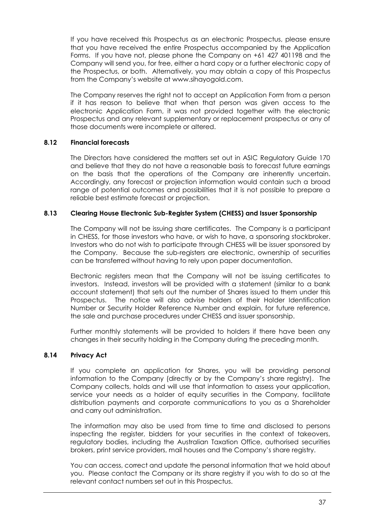If you have received this Prospectus as an electronic Prospectus, please ensure that you have received the entire Prospectus accompanied by the Application Forms. If you have not, please phone the Company on +61 427 401198 and the Company will send you, for free, either a hard copy or a further electronic copy of the Prospectus, or both. Alternatively, you may obtain a copy of this Prospectus from the Company's website at www.sihayogold.com.

The Company reserves the right not to accept an Application Form from a person if it has reason to believe that when that person was given access to the electronic Application Form, it was not provided together with the electronic Prospectus and any relevant supplementary or replacement prospectus or any of those documents were incomplete or altered.

# **8.12 Financial forecasts**

The Directors have considered the matters set out in ASIC Regulatory Guide 170 and believe that they do not have a reasonable basis to forecast future earnings on the basis that the operations of the Company are inherently uncertain. Accordingly, any forecast or projection information would contain such a broad range of potential outcomes and possibilities that it is not possible to prepare a reliable best estimate forecast or projection.

# **8.13 Clearing House Electronic Sub-Register System (CHESS) and Issuer Sponsorship**

The Company will not be issuing share certificates. The Company is a participant in CHESS, for those investors who have, or wish to have, a sponsoring stockbroker. Investors who do not wish to participate through CHESS will be issuer sponsored by the Company. Because the sub-registers are electronic, ownership of securities can be transferred without having to rely upon paper documentation.

Electronic registers mean that the Company will not be issuing certificates to investors. Instead, investors will be provided with a statement (similar to a bank account statement) that sets out the number of Shares issued to them under this Prospectus. The notice will also advise holders of their Holder Identification Number or Security Holder Reference Number and explain, for future reference, the sale and purchase procedures under CHESS and issuer sponsorship.

Further monthly statements will be provided to holders if there have been any changes in their security holding in the Company during the preceding month.

#### **8.14 Privacy Act**

If you complete an application for Shares, you will be providing personal information to the Company (directly or by the Company's share registry). The Company collects, holds and will use that information to assess your application, service your needs as a holder of equity securities in the Company, facilitate distribution payments and corporate communications to you as a Shareholder and carry out administration.

The information may also be used from time to time and disclosed to persons inspecting the register, bidders for your securities in the context of takeovers, regulatory bodies, including the Australian Taxation Office, authorised securities brokers, print service providers, mail houses and the Company's share registry.

You can access, correct and update the personal information that we hold about you. Please contact the Company or its share registry if you wish to do so at the relevant contact numbers set out in this Prospectus.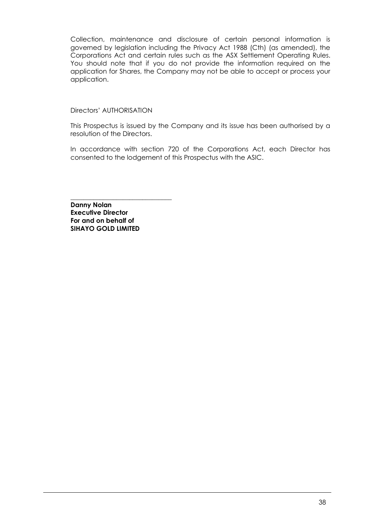Collection, maintenance and disclosure of certain personal information is governed by legislation including the Privacy Act 1988 (Cth) (as amended), the Corporations Act and certain rules such as the ASX Settlement Operating Rules. You should note that if you do not provide the information required on the application for Shares, the Company may not be able to accept or process your application.

#### <span id="page-39-0"></span>Directors' AUTHORISATION

This Prospectus is issued by the Company and its issue has been authorised by a resolution of the Directors.

In accordance with section 720 of the Corporations Act, each Director has consented to the lodgement of this Prospectus with the ASIC.

**Danny Nolan Executive Director For and on behalf of SIHAYO GOLD LIMITED**

\_\_\_\_\_\_\_\_\_\_\_\_\_\_\_\_\_\_\_\_\_\_\_\_\_\_\_\_\_\_\_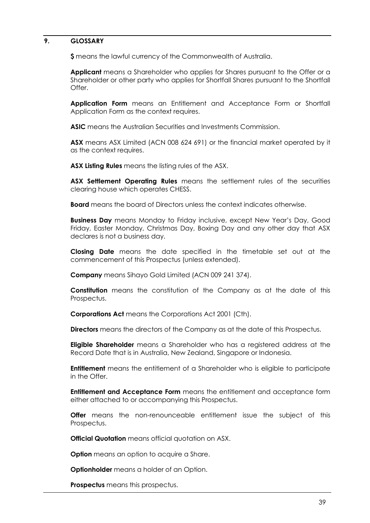#### <span id="page-40-0"></span>**9. GLOSSARY**

**\$** means the lawful currency of the Commonwealth of Australia.

**Applicant** means a Shareholder who applies for Shares pursuant to the Offer or a Shareholder or other party who applies for Shortfall Shares pursuant to the Shortfall Offer.

**Application Form** means an Entitlement and Acceptance Form or Shortfall Application Form as the context requires.

**ASIC** means the Australian Securities and Investments Commission.

**ASX** means ASX Limited (ACN 008 624 691) or the financial market operated by it as the context requires.

**ASX Listing Rules** means the listing rules of the ASX.

**ASX Settlement Operating Rules** means the settlement rules of the securities clearing house which operates CHESS.

**Board** means the board of Directors unless the context indicates otherwise.

**Business Day** means Monday to Friday inclusive, except New Year's Day, Good Friday, Easter Monday, Christmas Day, Boxing Day and any other day that ASX declares is not a business day.

**Closing Date** means the date specified in the timetable set out at the commencement of this Prospectus (unless extended).

**Company** means Sihayo Gold Limited (ACN 009 241 374).

**Constitution** means the constitution of the Company as at the date of this Prospectus.

**Corporations Act** means the Corporations Act 2001 (Cth).

**Directors** means the directors of the Company as at the date of this Prospectus.

**Eligible Shareholder** means a Shareholder who has a registered address at the Record Date that is in Australia, New Zealand, Singapore or Indonesia.

**Entitlement** means the entitlement of a Shareholder who is eligible to participate in the Offer.

**Entitlement and Acceptance Form** means the entitlement and acceptance form either attached to or accompanying this Prospectus.

**Offer** means the non-renounceable entitlement issue the subject of this Prospectus.

**Official Quotation** means official quotation on ASX.

**Option** means an option to acquire a Share.

**Optionholder** means a holder of an Option.

**Prospectus** means this prospectus.